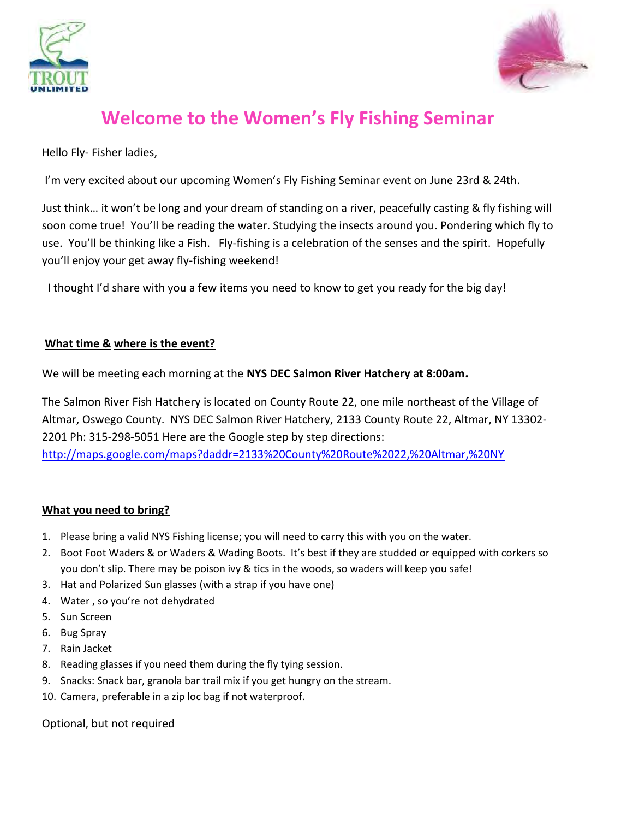



# **Welcome to the Women's Fly Fishing Seminar**

Hello Fly- Fisher ladies,

I'm very excited about our upcoming Women's Fly Fishing Seminar event on June 23rd & 24th.

Just think… it won't be long and your dream of standing on a river, peacefully casting & fly fishing will soon come true! You'll be reading the water. Studying the insects around you. Pondering which fly to use. You'll be thinking like a Fish. Fly-fishing is a celebration of the senses and the spirit. Hopefully you'll enjoy your get away fly-fishing weekend!

I thought I'd share with you a few items you need to know to get you ready for the big day!

## **What time & where is the event?**

We will be meeting each morning at the **NYS DEC Salmon River Hatchery at 8:00am.**

The Salmon River Fish Hatchery is located on County Route 22, one mile northeast of the Village of Altmar, Oswego County. NYS DEC Salmon River Hatchery, 2133 County Route 22, Altmar, NY 13302- 2201 Ph: 315-298-5051 Here are the Google step by step directions:

<http://maps.google.com/maps?daddr=2133%20County%20Route%2022,%20Altmar,%20NY>

## **What you need to bring?**

- 1. Please bring a valid NYS Fishing license; you will need to carry this with you on the water.
- 2. Boot Foot Waders & or Waders & Wading Boots. It's best if they are studded or equipped with corkers so you don't slip. There may be poison ivy & tics in the woods, so waders will keep you safe!
- 3. Hat and Polarized Sun glasses (with a strap if you have one)
- 4. Water , so you're not dehydrated
- 5. Sun Screen
- 6. Bug Spray
- 7. Rain Jacket
- 8. Reading glasses if you need them during the fly tying session.
- 9. Snacks: Snack bar, granola bar trail mix if you get hungry on the stream.
- 10. Camera, preferable in a zip loc bag if not waterproof.

Optional, but not required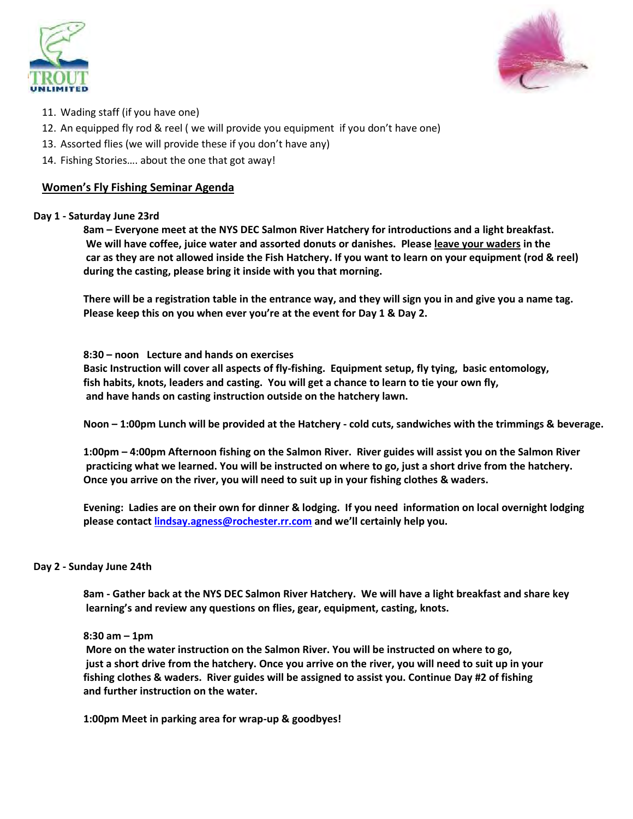



- 11. Wading staff (if you have one)
- 12. An equipped fly rod & reel ( we will provide you equipment if you don't have one)
- 13. Assorted flies (we will provide these if you don't have any)
- 14. Fishing Stories…. about the one that got away!

### **Women's Fly Fishing Seminar Agenda**

#### **Day 1 - Saturday June 23rd**

**8am – Everyone meet at the NYS DEC Salmon River Hatchery for introductions and a light breakfast. We will have coffee, juice water and assorted donuts or danishes. Please leave your waders in the car as they are not allowed inside the Fish Hatchery. If you want to learn on your equipment (rod & reel) during the casting, please bring it inside with you that morning.**

**There will be a registration table in the entrance way, and they will sign you in and give you a name tag. Please keep this on you when ever you're at the event for Day 1 & Day 2.**

#### **8:30 – noon Lecture and hands on exercises**

**Basic Instruction will cover all aspects of fly-fishing. Equipment setup, fly tying, basic entomology, fish habits, knots, leaders and casting. You will get a chance to learn to tie your own fly, and have hands on casting instruction outside on the hatchery lawn.**

**Noon – 1:00pm Lunch will be provided at the Hatchery - cold cuts, sandwiches with the trimmings & beverage.**

**1:00pm – 4:00pm Afternoon fishing on the Salmon River. River guides will assist you on the Salmon River practicing what we learned. You will be instructed on where to go, just a short drive from the hatchery. Once you arrive on the river, you will need to suit up in your fishing clothes & waders.**

**Evening: Ladies are on their own for dinner & lodging. If you need information on local overnight lodging please contact [lindsay.agness@rochester.rr.com](mailto:lindsay.agness@rochester.rr.com) and we'll certainly help you.**

#### **Day 2 - Sunday June 24th**

**8am - Gather back at the NYS DEC Salmon River Hatchery. We will have a light breakfast and share key learning's and review any questions on flies, gear, equipment, casting, knots.** 

#### **8:30 am – 1pm**

**More on the water instruction on the Salmon River. You will be instructed on where to go, just a short drive from the hatchery. Once you arrive on the river, you will need to suit up in your fishing clothes & waders. River guides will be assigned to assist you. Continue Day #2 of fishing and further instruction on the water.**

**1:00pm Meet in parking area for wrap-up & goodbyes!**